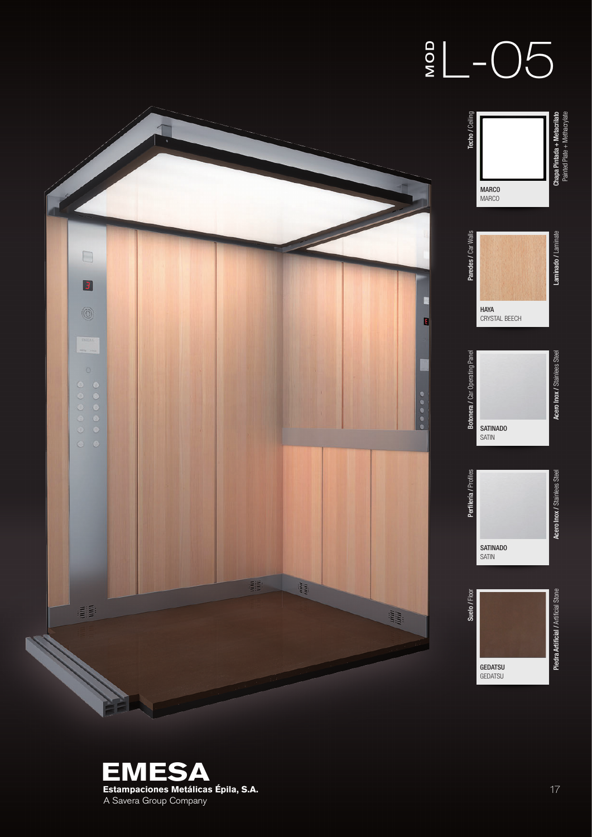